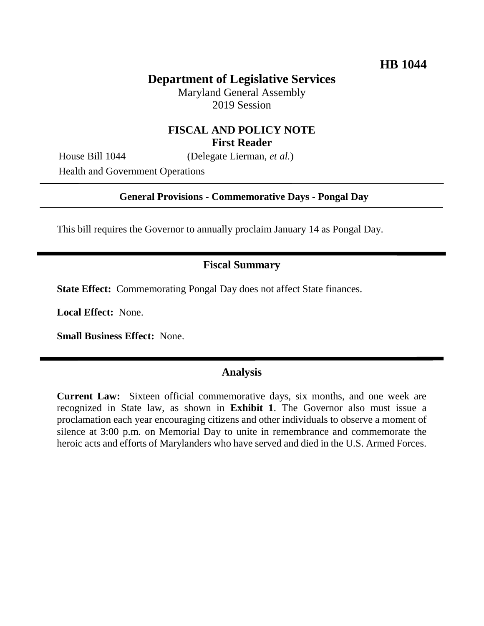# **Department of Legislative Services**

Maryland General Assembly 2019 Session

# **FISCAL AND POLICY NOTE First Reader**

House Bill 1044 (Delegate Lierman, *et al.*)

Health and Government Operations

## **General Provisions - Commemorative Days - Pongal Day**

This bill requires the Governor to annually proclaim January 14 as Pongal Day.

#### **Fiscal Summary**

**State Effect:** Commemorating Pongal Day does not affect State finances.

**Local Effect:** None.

**Small Business Effect:** None.

# **Analysis**

**Current Law:** Sixteen official commemorative days, six months, and one week are recognized in State law, as shown in **Exhibit 1**. The Governor also must issue a proclamation each year encouraging citizens and other individuals to observe a moment of silence at 3:00 p.m. on Memorial Day to unite in remembrance and commemorate the heroic acts and efforts of Marylanders who have served and died in the U.S. Armed Forces.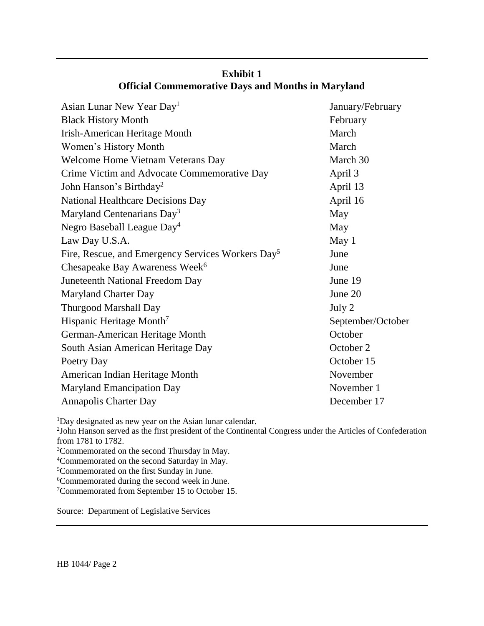| Asian Lunar New Year Day <sup>1</sup>                         | January/February  |
|---------------------------------------------------------------|-------------------|
| <b>Black History Month</b>                                    | February          |
| Irish-American Heritage Month                                 | March             |
| Women's History Month                                         | March             |
| Welcome Home Vietnam Veterans Day                             | March 30          |
| Crime Victim and Advocate Commemorative Day                   | April 3           |
| John Hanson's Birthday <sup>2</sup>                           | April 13          |
| <b>National Healthcare Decisions Day</b>                      | April 16          |
| Maryland Centenarians Day <sup>3</sup>                        | May               |
| Negro Baseball League Day <sup>4</sup>                        | May               |
| Law Day U.S.A.                                                | May 1             |
| Fire, Rescue, and Emergency Services Workers Day <sup>5</sup> | June              |
| Chesapeake Bay Awareness Week <sup>6</sup>                    | June              |
| Juneteenth National Freedom Day                               | June 19           |
| Maryland Charter Day                                          | June 20           |
| <b>Thurgood Marshall Day</b>                                  | July 2            |
| Hispanic Heritage Month <sup>7</sup>                          | September/October |
| German-American Heritage Month                                | October           |
| South Asian American Heritage Day                             | October 2         |
| Poetry Day                                                    | October 15        |
| American Indian Heritage Month                                | November          |
| <b>Maryland Emancipation Day</b>                              | November 1        |
| Annapolis Charter Day                                         | December 17       |

# **Exhibit 1 Official Commemorative Days and Months in Maryland**

<sup>1</sup>Day designated as new year on the Asian lunar calendar.

2 John Hanson served as the first president of the Continental Congress under the Articles of Confederation from 1781 to 1782.

<sup>3</sup>Commemorated on the second Thursday in May.

<sup>4</sup>Commemorated on the second Saturday in May.

<sup>5</sup>Commemorated on the first Sunday in June.

<sup>6</sup>Commemorated during the second week in June.

<sup>7</sup>Commemorated from September 15 to October 15.

Source: Department of Legislative Services